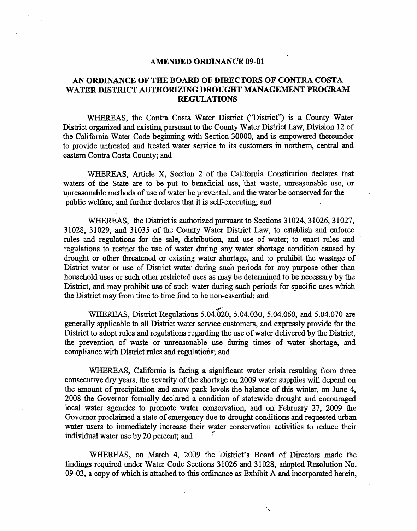#### **AMENDED ORDINANCE 09-01**

### **AN ORDINANCE OF THE BOARD OF DIRECTORS OF CONTRA COSTA WATER DISTRICT AUTHORIZING DROUGHT MANAGEMENT PROGRAM REGULATIONS**

WHEREAS, the Contra Costa Water District ("District") is a County Water District organized and existing pursuant to the County Water District Law, Division 12 of the California Water Code beginning with Section 30000, and is empowered thereunder to provide untreated and treated water service to its customers in northern, central and eastern Contra Costa County; and

WHEREAS, Article X, Section 2 of the California Constitution declares that waters of the State are to be put to beneficial use, that waste, unreasonable use, or unreasonable methods of use of water be prevented, and the water be conserved for the public welfare, and further declares that it is self-executing; and

WHEREAS, the District is authorized pursuant to Sections 31024, 31026, 31027, 31028, 31029, and 31035 of the County Water District Law, to establish and enforce rules and regulations for the sale, distribution, and use of water; to enact rules and regulations to restrict the use of water during any water shortage condition caused by drought or other threatened or existing water shortage, and to prohibit the wastage of District water or use of District water during such periods for any purpose other than household uses or such other restricted uses as may be determined to be necessary by the District, and may prohibit use of such water during such periods for specific uses which the District may from time to time find to be non-essential; and

*r*  WHEREAS, District Regulations 5.04.020, 5.04.030, 5.04.060, and 5.04.070 are generally applicable to all District water service customers, and expressly provide for the District to adopt rules and regulations regarding the use ofwater delivered by the District, the prevention of waste or unreasonable use during times of water shortage, and compliance with District rules and regulations; and

WHEREAS, California is facing a significant water crisis resulting from three consecutive dry years, the severity of the shortage on 2009 water supplies will depend on the amount of precipitation and snow pack levels the balance of this winter, on June 4, 2008 the Governor formally declared a condition of statewide drought and encouraged local water agencies to promote water conservation, and on February 27, 2009 the Governor proclaimed a state of emergency due to drought conditions and requested urban water users to immediately increase their water conservation activities to reduce their individual water use by 20 percent; and

WHEREAS, on March 4, 2009 the District's Board of Directors made the findings required under Water Code Sections 31026 and 31028, adopted Resolution No. 09-03, a copy of which is attached to this ordinance as Exhibit A and incorporated herein,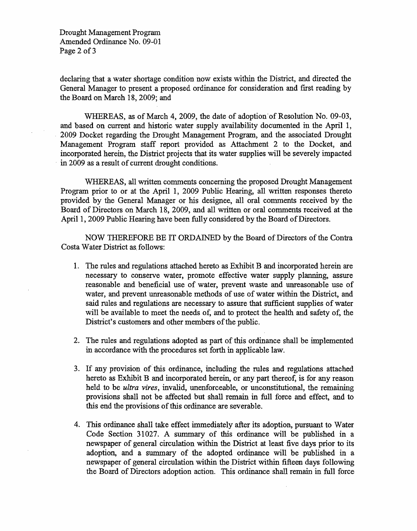Drought Management Program Amended Ordinance No. 09-01 Page 2 of 3

declaring that a water shortage condition now exists within the District, and directed the General Manager to present a proposed ordinance for consideration and first reading by the Board on March 18, 2009; and

WHEREAS, as of March 4, 2009, the date of adoption of Resolution No. 09-03, and based on current and historic water supply availability documented in the April 1, 2009 Docket regarding the Drought Management Program, and the associated Drought Management Program staff report provided as Attachment 2 to the Docket, and incorporated herein, the District projects that its water supplies will be severely impacted in 2009 as a result of current drought conditions.

WHEREAS, all written comments concerning the proposed Drought Management Program prior to or at the April 1, 2009 Public Hearing, all written responses thereto provided by the General Manager or his designee, all oral comments received by the Board of Directors ori March 18, 2009, and all written or oral comments received at the April 1, 2009 Public Hearing have been fully considered by the Board of Directors.

NOW THEREFORE BE IT ORDAJNED by the Board of Directors of the Contra Costa Water District as follows:

- 1. The rules and regulations attached hereto as Exhibit B and incorporated herein are necessary to conserve water, promote effective water supply planning, assure reasonable and beneficial use of water, prevent waste and unreasonable use of water, and prevent unreasonable methods of use of water within the District, and said rules and regulations are necessary to assure that sufficient supplies of water will be available to meet the needs of, and to protect the health and safety of, the District's customers and other members of the public.
- 2. The rules and regulations adopted as part of this ordinance shall be implemented in accordance with the procedures set forth in applicable law.
- 3. If any provision *of* this ordinance, including the rules and regulations attached hereto as Exhibit B and incorporated herein, or any part thereof, is for any reason held to be *ultra vires,* invalid, unenforceable, or unconstitutional, the remaining provisions shall not be affected but shall remain in full force and effect, and to this end the provisions of this ordinance are severable.
- 4. This ordinance shall take effect immediately after its adoption, pursuant to Water Code Section 31027. A summary of this ordinance will be published in a newspaper of general circulation within the District at least five days prior to its adoption, and a summary of the adopted ordinance will be published in a newspaper of general circulation within the District within fifteen days following the Board of Directors adoption action. This ordinance shall remain in full force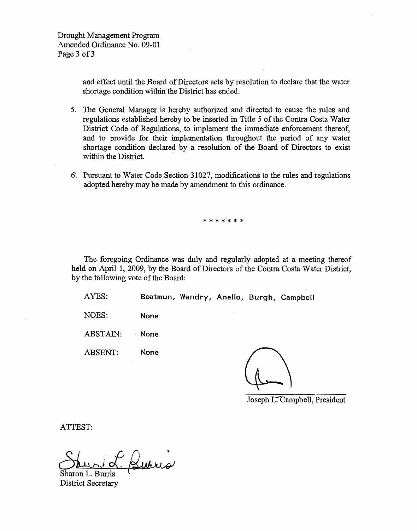and effect until the Board of Directors acts by resolution to declare that the water shortage condition within the District has ended.

- *5.* The General Manager is hereby authorized and directed to cause the rules and regulations established hereby to be inserted in Title 5 of the Contra Costa Water District Code of Regulations, to implement the immediate enforcement thereof, and to provide for their implementation throughout the period of any water shortage condition declared by a resolution of the Board of Directors to exist within the District.
- 6. Pursuant to Water Code Section 31027, modifications to the rules and regulations adopted hereby may be made by amendment to this ordinance.

The foregoing Ordinance was duly and regularly adopted at a meeting thereof held on April 1, 2009, by the Board of Directors of the Contra Costa Water District, by the following vote of the Board:

AYES: Boatmun, Wandry, Anello, Burgh, Campbell

NOES: None

ABSTAIN: None

ABSENT: None

Joseph L. Campbell, President

ATTEST:

 $\frac{1}{2}$ urris

Sharon L. Burris District Secretary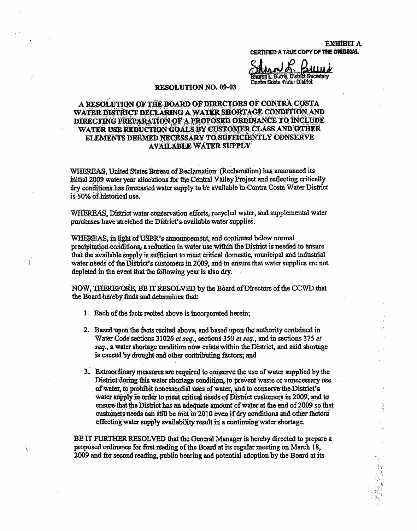**EXHIBIT A** CERTIFIED A TRUE COPY OF THE ORIGINAL

haron L. Burria, District Secretary Contra Costa Water District

#### **RESOLUTION NO. 09-03**

J,

 $\mathcal{L}$ 

### A RESOLUTION OF THE BOARD OF DIRECTORS OF CONTRA COSTA WATER DISTRICT DECLARING A WATER SHORTAGE CONDITION AND DIRECTING PREPARATION OF A PROPOSED ORDINANCE TO INCLUDE WATER USE REDUCTION GOALS BY CUSTOMER CLASS AND OTHER ELEMENTS DEEMED NECESSARY TO SUFFICIENTLY CONSERVE **AVAILABLE WATER SUPPLY**

WHEREAS, United States Bureau of Reclamation (Reclamation) has announced its mitial 2009 water year allocations for the Central Valley Project and reflecting critically dry conditions has forecasted water supply to be available to Contra Costa Water District is 50% of historical use.

WHEREAS, District water conservation efforts, recycled water, and supplemental water purchases have stretched the District's available water supplies.

WHEREAS, in light of USBR's announcement, and continued below normal precipitation conditions, a reduction in water use within the District is needed to ensure that the available supply is sufficient to meet critical domestic, municipal and industrial water needs of the District's customers in 2009, and to ensure that water supplies are not depleted in the event that the following year is also dry.

NOW, THEREFORE, BE IT RESOLVED by the Board of Directors of the CCWD that the Board hereby finds and determines that:

- 1. Each of the facts recited above is incorporated herein;
- 2. Based upon the facts recited above, and based upon the authority contained in Water Code sections 31026 et seq., sections 350 et seq., and in sections 375 et seq., a water shortage condition now exists within the District, and said shortage is caused by drought and other contributing factors; and
- 3. Extraordinary measures are required to conserve the use of water supplied by the District during this water shortage condition, to prevent waste or unnecessary use of water, to prohibit nonessential uses of water, and to conserve the District's water supply in order to meet critical needs of District customers in 2009, and to ensure that the District has an adequate amount of water at the end of 2009 so that customers needs can still be met in 2010 even if dry conditions and other factors effecting water supply availability result in a continuing water shortage.

BE IT FURTHER RESOLVED that the General Manager is hereby directed to prepare a proposed ordinance for first reading of the Board at its regular meeting on March 18, 2009 and for second reading, public hearing and potential adoption by the Board at its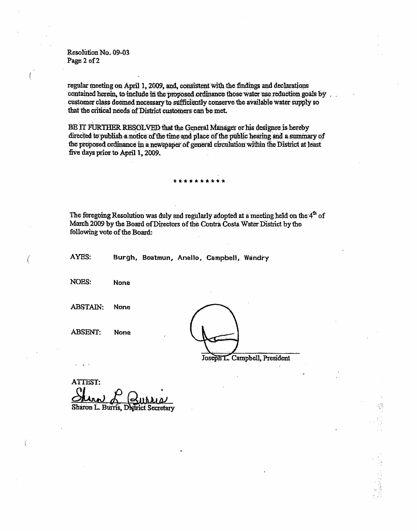Resolution No. 09-03 Page 2 of 2

regular meeting on April 1, 2009, and, consistent with the findings and declarations contained herein, to include in the proposed ordinance those water use reduction goals by customer class deemed necessary to sufficiently conserve the available water supply so that the critical needs of District customers can be met.

BE IT FURTHER RESOLVED that the General Manager or his designee is hereby directed to publish a notice of the time and place of the public hearing and a summary of the proposed ordinance in a newspaper of general circulation within the District at least five days prior to April 1, 2009.

#### \*\*\*\*\*\*

The foregoing Resolution was duly and regularly adopted at a meeting held on the 4<sup>th</sup> of March 2009 by the Board of Directors of the Contra Costa Water District by the following vote of the Board:

AYES: Burgh, Boatmun, Anello, Campbell, Wandry

NOES: **None** 

ĺ

Í

ABSTAIN: None

**ABSENT: None** 

Joseph L. Campbell, President

**ATTEST:** Sharon L. Burris, Digirict Secretary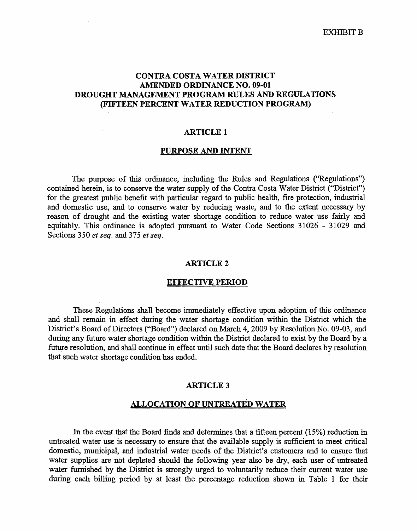EXHIBIT B

### **CONTRA COSTA WATER DISTRICT AMENDED ORDINANCE NO. 09-01 DROUGHT MANAGEMENT PROGRAM RULES AND REGULATIONS (FIFTEEN PERCENT WATER REDUCTION PROGRAM)**

### **ARTICLEl**

### **PURPOSE AND INTENT**

The purpose of this ordinance, including the Rules and Regulations ("Regulations") contained herein, is to conserve the water supply of the Contra Costa Water District (''District") for the greatest public benefit with particular regard to public health, fire protection, industrial and domestic use, and to conserve water by reducing waste, and to the extent necessary by reason of drought and the existing water shortage condition to reduce water use fairly and equitably. This ordinance is adopted pursuant to Water Code Sections 31026 - 31029 and Sections 350 *et seq.* and 375 *et seq.* 

### **ARTICLE2**

### **EFFECTIVE PERIOD.**

These Regulations shall become immediately effective upon adoption of this ordinance and shall remain in effect during the water shortage condition within the District which the District's Board of Directors ("Board") declared on March 4, 2009 by Resolution No. 09-03, and during any future water shortage condition within the District declared to exist by the Board by a . future resolution, and shall continue in effect until such date that the Board declares by resolution that such water shortage condition has ended.

### **ARTICLE3**

### **ALLOCATION OF UNTREATED WATER**

In the event that the Board finds and determines that a fifteen percent (15%) reduction in untreated water use is necessary to ensure that the available supply is sufficient to meet critical domestic, municipal, and industrial water needs of the District's customers and to ensure that water supplies are not depleted should the following year also be dry, each user of untreated water furnished by the District is strongly urged to voluntarily reduce their current water use during each billing period by at least the percentage reduction shown in Table 1 for their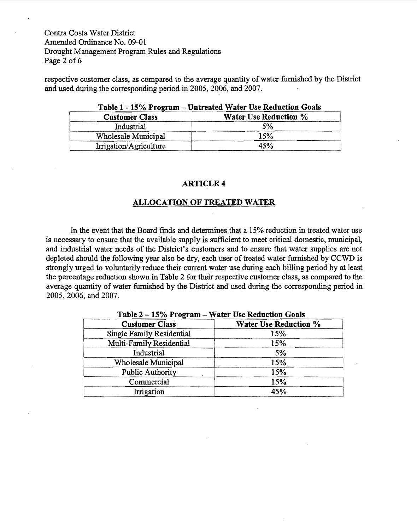Contra Costa Water District Amended Ordinance No. 09-01 Drought Management Program Rules and Regulations Page 2 of 6

respective customer class, as compared to the average quantity of water furnished by the District and used during the corresponding period in 2005, 2006, and 2007.

| <b>Customer Class</b>  | <b>Water Use Reduction %</b> |
|------------------------|------------------------------|
| Industrial             | 5%                           |
| Wholesale Municipal    | 15%                          |
| Irrigation/Agriculture | 45%                          |

### **Table 1 - 15% Program - Untreated Water Use Reduction Goals**

### **ARTICLE4**

### **ALLOCATION OF TREATED WATER**

In the event that the Board finds and determines that a 15% reduction in treated water use is necessary to ensure that the available supply is sufficient to meet critical domestic, municipal, and industrial water needs of the District's customers and to ensure that water supplies are not depleted should the following year also be dry, each user of treated water furnished by CCWD is strongly urged to voluntarily reduce their current water use during each billing period by at least the percentage reduction shown in Table 2 for their respective customer class, as compared to the average quantity of water furnished by the District and used during the corresponding period in 2005, 2006, and 2007.

| <b>Customer Class</b>     | <b>Water Use Reduction %</b> |  |
|---------------------------|------------------------------|--|
| Single Family Residential | 15%                          |  |
| Multi-Family Residential  | 15%                          |  |
| Industrial                | 5%                           |  |
| Wholesale Municipal       | 15%                          |  |
| Public Authority          | 15%                          |  |
| Commercial                | 15%                          |  |
| Irrigation                | 45%                          |  |

**Table 2 150/c Dragram Watar Use Reduction Goals**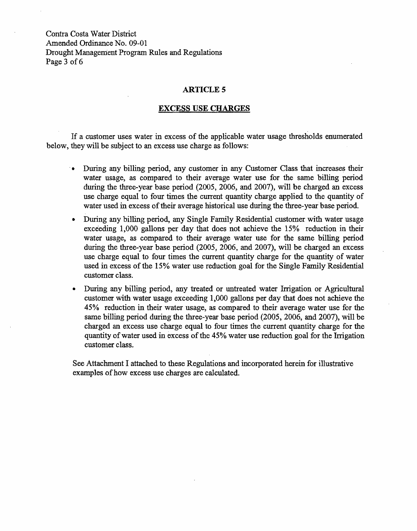Contra Costa Water District Amended Ordinance No. 09-01 Drought Management Program Rules and Regulations Page 3 of 6

### **ARTICLES**

### **EXCESS USE CHARGES**

If a customer uses water in excess of the applicable water usage thresholds enumerated below, they will be subject to an excess use charge as follows:

- · During any billing period, any customer in any Customer Class that increases their water usage, as compared to their average water use for the same billing period during the three-year base period (2005, 2006, and 2007), will be charged an excess use charge equal to four times the current quantity charge applied to the quantity of water used in excess of their average historical use during the three-year base period.
- During any billing period, any Single Family Residential customer with water usage exceeding 1,000 gallons per day that does not achieve the 15% reduction in their water usage, as compared to their average water use for the same billing period during the three-year base period (2005, 2006, and 2007), will be charged an excess use charge equal to four times the current quantity charge for the quantity of water used in excess of the 15% water use reduction goal for the Single Family Residential customer class.
- During any billing period, any treated or untreated water Irrigation or Agricultural customer with water usage exceeding 1,000 gallons per day that does not achieve the 45% reduction in their water usage, as compared to their average water use for the same billing period during the three-year base period (2005, 2006, and 2007), will be charged an excess use charge equal to four times the current quantity charge for the quantity of water used in excess of the 45% water use reduction goal for the Irrigation customer class.

See Attachment I attached to these Regulations and incorporated herein for illustrative examples of how excess use charges are calculated.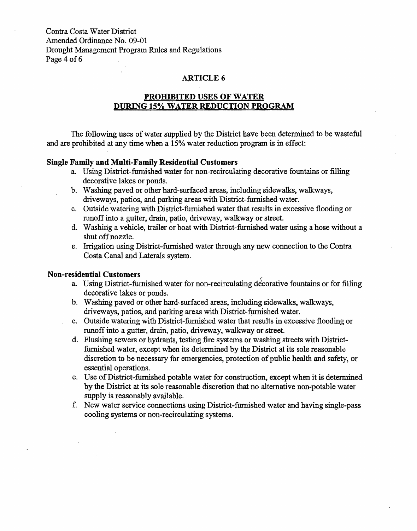Contra Costa Water District Amended Ordinance No. 09-01 Drought Management Program Rules and Regulations Page 4 of 6

### **ARTICLE 6**

## **PROHIBITED USES OF WATER DURING 15% WATER REDUCTION PROGRAM**

The following uses of water supplied by the District have been determined to be wasteful and are prohibited at any time when a 15% water reduction program is in effect:

### **Single Family and Multi-Family Residential Customers**

- a. Using District-furnished water for non-recirculating decorative fountains or filling decorative lakes or ponds.
- b. Washing paved or other hard-surfaced areas, including sidewalks, walkways, driveways, patios, and parking areas with District-furnished water.
- c. Outside watering with District-furnished water that results in excessive flooding or runoffinto a gutter, drain, patio, driveway, walkway or street.
- d. Washirig a vehicle, trailer or boat with District-furnished water using a hose without a shut off nozzle.
- e. Irrigation using District-furnished water through any new connection to the Contra Costa Canal and Laterals system.

# **Non-residen~al C~st~mers** . . . <" • • •

- a. Using District-furnished water for non-recirculating decorative fountains or for filling decorative lakes or ponds.
- b. Washing paved or other hard-surfaced areas, including sidewalks, walkways, driveways, patios, and parking areas with District-furnished water.
- c. Outside watering with District-furnished water that results in excessive flooding or runoff into a gutter, drain, patio, driveway, walkway or street. ·
- d. Flushing sewers or hydrants, testing fire systems or washing streets with Districtfurnished water, except when its determined by the District at its sole reasonable discretion to be necessary for emergencies, protection of public health and safety, or essential operations.
- e. Use of District-furnished potable water for construction, except when it is determined by the District at its sole reasonable discretion that no alternative non-potable water supply is reasonably available.
- f. New water service connections using District-furnished water and having single-pass cooling systems or non-recirculating systems.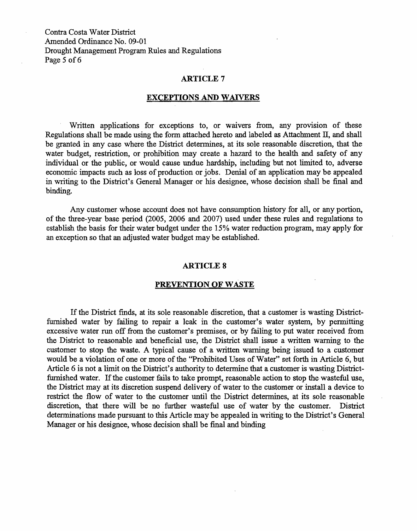Contra Costa Water District Amended Ordinance No. 09-01 Drought Management Program Rules and Regulations Page 5 of 6

### **ARTICLE7**

### **EXCEPTIONS AND WAIVERS**

Written applications for exceptions to, or waivers from, any provision of these Regulations shall be made using the form attached hereto and labeled as Attachment II, and shall be granted in any case where the District determines, at its sole reasonable discretion, that the water budget, restriction, or prohibition may create a hazard to the health and safety of any individual or the public, or would cause undue hardship, including but not limited to, adverse economic impacts such as loss of production or jobs. Denial of an application may be appealed in writing to the District's General Manager or his designee, whose decision shall be final and binding.

Any customer whose account does not have consumption history for all, or any portion, of the three-year base period (2005, 2006 and 2007) used under these rules and regulations to establish the basis for their water budget under the 15% water reduction program, may apply for an exception so that an adjusted water budget may be established.

#### **ARTICLES**

### **PREVENTION OF WASTE**

If the District finds, at its sole reasonable discretion, that a customer is wasting Districtfurnished water by failing to repair a leak in the customer's water system, by permitting excessive water run off from the customer's premises, or by failing to put water received from the District to reasonable and beneficial use, the District shall issue a written warning to the customer to stop the waste. A typical cause of a written warning being issued to a customer would be a violation of one or more of the "Prohibited Uses of Water" set forth in Article 6, but Article 6 is not a limit on the District's authority to determine that a customer is wasting Districtfurnished water. If the customer fails to take prompt, reasonable action to stop the wasteful use, the District may at its discretion suspend delivery of water to the customer or install a device to restrict the flow of water to the customer until the District determines, at its sole reasonable discretion, that there will be no further wasteful use of water by the customer. District determinations made pursuant to this Article may be appealed in writing to the District's General Manager or his designee, whose decision shall be final and binding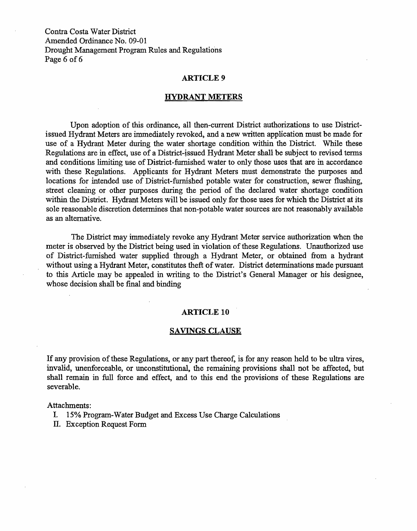Contra Costa Water District Amended Ordinance No. 09-01 Drought Management Program Rules and Regulations Page 6 of 6

### **ARTICLE9**

#### **HYDRANT METERS**

Upon adoption of this ordinance, all then-current District authorizations to use Districtissued Hydrant Meters are immediately revoked, and a new written application must be made for use of a Hydrant Meter during the water shortage condition within the District. While these Regulations are in effect, use of a District-issued Hydrant Meter shall be subject to revised terms and conditions limiting use of District-furnished' water to only those uses that are in accordance with these Regulations. Applicants for Hydrant Meters must demonstrate the purposes and locations for intended use of District-furnished potable water for construction, sewer flushing, street cleaning or other purposes during the period of the declared water shortage condition within the District. Hydrant Meters will be issued only for those uses for which the District at its sole reasonable discretion determines that non-potable water sources are not reasonably available as an alternative.

The District may immediately revoke any Hydrant Meter service authorization when the meter is observed by the District being used in violation of these Regulations. Unauthorized use of District-furnished water supplied through a Hydrant Meter, or obtained from a hydrant without using a Hydrant Meter, constitutes theft of water. District determinations made pursuant to this Article may be appealed in writing to the District's General Manager or *bis* designee, whose decision shall be final and binding

### **ARTICLE 10**

### **SAVINGS CLAUSE**

If any provision of these Regulations, or any part thereof, is for any reason held to be ultra vires, invalid, unenforceable, or unconstitutional, the remaining provisions shall not be affected, but shall remain in full force and effect, and to this end the provisions of these Regulations are severable.

Attachments:

- I. 15% Program-Water Budget and Excess Use Charge Calculations
- Il. Exception Request Form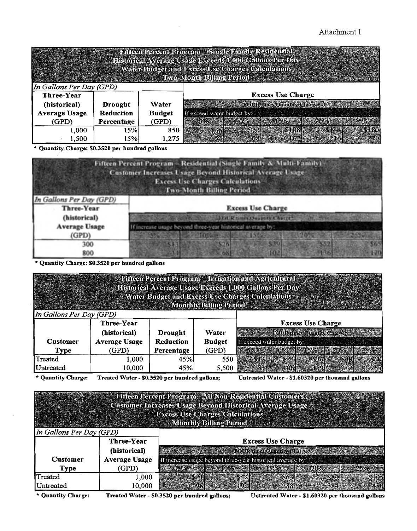# Attachment I

|                                                 |                  |                                                         | Fifteen Percent Program - Single family Residential<br>Historical Averige Issue breeds Rulli (Prilons Partier                                                                                                 |                          |                                |        |       |
|-------------------------------------------------|------------------|---------------------------------------------------------|---------------------------------------------------------------------------------------------------------------------------------------------------------------------------------------------------------------|--------------------------|--------------------------------|--------|-------|
|                                                 |                  |                                                         | Water Budget and Brocks Use Charges Calculations<br><b>Two-Month Billing Period</b>                                                                                                                           |                          |                                |        |       |
| In Gallons Per Day (GPD)                        |                  |                                                         |                                                                                                                                                                                                               |                          |                                |        |       |
| Three-Year                                      |                  |                                                         |                                                                                                                                                                                                               |                          | <b>Excess Use Charge</b>       |        |       |
| (historical)                                    | Drought          | Water                                                   |                                                                                                                                                                                                               |                          | <b>FOUR FIRE ORDER CRAFTER</b> |        |       |
| <b>Average Usage</b>                            | <b>Reduction</b> | <b>Budget</b>                                           | If exceed water budget by:                                                                                                                                                                                    |                          |                                |        |       |
| (GPD)                                           | Percentage       | (GPD)                                                   | 510925                                                                                                                                                                                                        |                          | 15%                            | 20%    | 25%   |
| 1,000                                           | 15%              | 850                                                     | 936                                                                                                                                                                                                           | 372                      | \$908                          | \$1.44 | \$480 |
| 1,500                                           | 15%              | 1,275                                                   | 54)                                                                                                                                                                                                           | 108                      | 162                            | $-216$ | 270   |
| * Quantity Charge: \$0.3520 per hundred gallons |                  |                                                         |                                                                                                                                                                                                               |                          |                                |        |       |
|                                                 |                  |                                                         | Fifteen Percent Program - Residential (Single Family & Multi-Family)<br>Customer Increases Usage Beyond Historical Average Usage<br><b>Excess Use Charges Calculations</b><br><b>Two-Month Billing Period</b> |                          |                                |        |       |
| In Gallons Per Day (GPD)                        |                  |                                                         |                                                                                                                                                                                                               |                          |                                |        |       |
| Three-Year                                      |                  |                                                         |                                                                                                                                                                                                               | <b>Excess Use Charge</b> |                                |        |       |
| (historical)                                    |                  |                                                         | times thus stity thated                                                                                                                                                                                       |                          |                                |        |       |
| <b>Average Usage</b>                            |                  | increase usage beyond three-year historical average by: |                                                                                                                                                                                                               |                          |                                |        |       |

101

 $526$ 

6S

1S

\$39

102

20%

342

136

\$6.

 $170$ 

| * Quantity Charge: \$0.3520 per hundred gallons |  |  |  |
|-------------------------------------------------|--|--|--|

(GPD 300 800

|                                |                                               | Fifteen Percent Program - Irrigation and Agricultural<br>Historieal Average Usage Exterds 1,000 Callons Per Day<br><b>Water Budget and Excess Use Charges Calculations</b> | <b>Monthly Billing Period</b> |         |                                                  |                          |     |      |
|--------------------------------|-----------------------------------------------|----------------------------------------------------------------------------------------------------------------------------------------------------------------------------|-------------------------------|---------|--------------------------------------------------|--------------------------|-----|------|
| In Gallons Per Day (GPD)       | Three-Year                                    |                                                                                                                                                                            |                               |         |                                                  |                          |     |      |
|                                | (historical)                                  | <b>Drought</b>                                                                                                                                                             | Water                         |         | FOUR times Quantity Charge-                      | <b>Excess Use Charge</b> |     |      |
| <b>Customer</b><br><b>Type</b> | <b>Average Usage</b><br>(GPD)                 | <b>Reduction</b><br>Percentage                                                                                                                                             | <b>Budget</b><br>(GPD)        | $5\% -$ | If exceed water budget by:<br>10%                | $15\% + 20\%$            |     | 25%  |
| Treated                        | 1,000                                         | 45%                                                                                                                                                                        | 550                           | 892     | 3241                                             | 536                      | 848 | 860  |
| Untreated                      | 10,000                                        | 45%                                                                                                                                                                        | 5,500                         | 53      | atori:                                           | 159)                     | 272 | 265. |
| <b>Quantity Charge:</b>        | Treated Water - \$0.3520 per hundred gallons; |                                                                                                                                                                            |                               |         | Untreated Water - \$1.60320 per thousand gallons |                          |     |      |
|                                |                                               | Fifteen Percent Program - All Non-Residential Customers<br><b>Customer Increases Usage Beyond Historical Average Usage</b><br><b>Excess Use Charges Calculations</b>       | <b>Monthly Billing Period</b> |         |                                                  |                          |     |      |
| In Gallons Per Day (GPD)       |                                               |                                                                                                                                                                            |                               |         |                                                  |                          |     |      |
|                                | Three-Year                                    |                                                                                                                                                                            |                               |         | <b>Excess Use Charge</b>                         |                          |     |      |
|                                | (historical)                                  |                                                                                                                                                                            |                               |         | <b>EDER times Quantity Charge.</b>               |                          |     |      |

|                   | (historical)         | <b>Excession of the Community Charge Community Charge Community Charge Community Charge Community Charge Community</b> |
|-------------------|----------------------|------------------------------------------------------------------------------------------------------------------------|
| Customer          | <b>Average Usage</b> | If increase usage beyond three-year historical average by:                                                             |
| <b>Type</b>       | <b>GPD)</b>          |                                                                                                                        |
| Treated           | .000                 |                                                                                                                        |
| <b>IUntreated</b> | 10,000               |                                                                                                                        |

\* Quantity Charge: Treated Water - \$0.3520 per hundred gallons; Untreated Water - \$1.60320 per thousand gallons